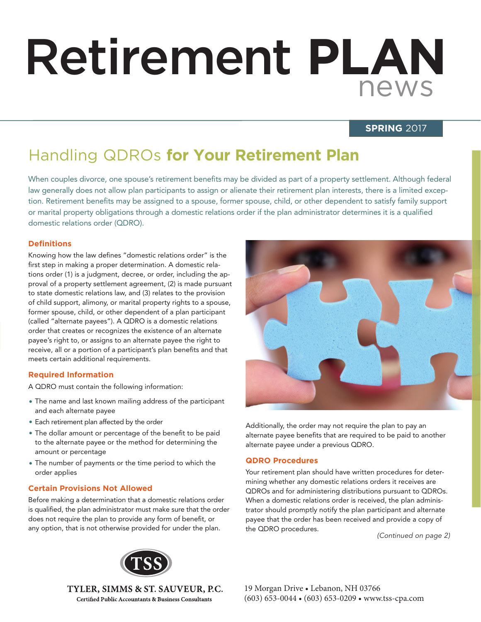# Retirement **PLAN** news

#### **SPRING** 2017

# Handling QDROs **for Your Retirement Plan**

When couples divorce, one spouse's retirement benefits may be divided as part of a property settlement. Although federal law generally does not allow plan participants to assign or alienate their retirement plan interests, there is a limited exception. Retirement benefits may be assigned to a spouse, former spouse, child, or other dependent to satisfy family support or marital property obligations through a domestic relations order if the plan administrator determines it is a qualified domestic relations order (QDRO).

#### **Defi nitions**

Knowing how the law defines "domestic relations order" is the first step in making a proper determination. A domestic relations order (1) is a judgment, decree, or order, including the approval of a property settlement agreement, (2) is made pursuant to state domestic relations law, and (3) relates to the provision of child support, alimony, or marital property rights to a spouse, former spouse, child, or other dependent of a plan participant (called "alternate payees"). A QDRO is a domestic relations order that creates or recognizes the existence of an alternate payee's right to, or assigns to an alternate payee the right to receive, all or a portion of a participant's plan benefits and that meets certain additional requirements.

#### **Required Information**

A QDRO must contain the following information:

- The name and last known mailing address of the participant and each alternate payee
- Each retirement plan affected by the order
- The dollar amount or percentage of the benefit to be paid to the alternate payee or the method for determining the amount or percentage
- The number of payments or the time period to which the order applies

#### **Certain Provisions Not Allowed**

Before making a determination that a domestic relations order is qualified, the plan administrator must make sure that the order does not require the plan to provide any form of benefit, or any option, that is not otherwise provided for under the plan.



Additionally, the order may not require the plan to pay an alternate payee benefits that are required to be paid to another alternate payee under a previous QDRO.

#### **QDRO Procedures**

Your retirement plan should have written procedures for determining whether any domestic relations orders it receives are QDROs and for administering distributions pursuant to QDROs. When a domestic relations order is received, the plan administrator should promptly notify the plan participant and alternate payee that the order has been received and provide a copy of the QDRO procedures.

*(Continued on page 2)*



TYLER, SIMMS & ST. SAUVEUR, P.C. **Certified Public Accountants & Business Consultants**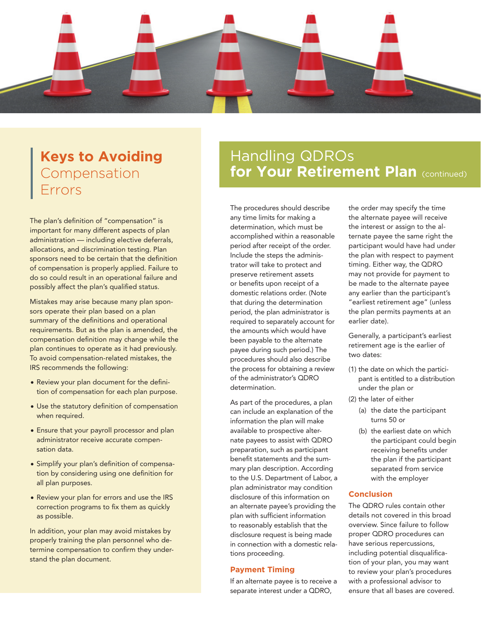

### **Keys to Avoiding** Compensation Errors

The plan's definition of "compensation" is important for many different aspects of plan administration — including elective deferrals, allocations, and discrimination testing. Plan sponsors need to be certain that the definition of compensation is properly applied. Failure to do so could result in an operational failure and possibly affect the plan's qualified status.

Mistakes may arise because many plan sponsors operate their plan based on a plan summary of the definitions and operational requirements. But as the plan is amended, the compensation definition may change while the plan continues to operate as it had previously. To avoid compensation-related mistakes, the IRS recommends the following:

- Review your plan document for the definition of compensation for each plan purpose.
- Use the statutory definition of compensation when required.
- Ensure that your payroll processor and plan administrator receive accurate compensation data.
- Simplify your plan's definition of compensation by considering using one definition for all plan purposes.
- Review your plan for errors and use the IRS correction programs to fix them as quickly as possible.

In addition, your plan may avoid mistakes by properly training the plan personnel who determine compensation to confirm they understand the plan document.

## Handling QDROs **for Your Retirement Plan (continued)**

The procedures should describe any time limits for making a determination, which must be accomplished within a reasonable period after receipt of the order. Include the steps the administrator will take to protect and preserve retirement assets or benefits upon receipt of a domestic relations order. (Note that during the determination period, the plan administrator is required to separately account for the amounts which would have been payable to the alternate payee during such period.) The procedures should also describe the process for obtaining a review of the administrator's QDRO determination.

As part of the procedures, a plan can include an explanation of the information the plan will make available to prospective alternate payees to assist with QDRO preparation, such as participant benefit statements and the summary plan description. According to the U.S. Department of Labor, a plan administrator may condition disclosure of this information on an alternate payee's providing the plan with sufficient information to reasonably establish that the disclosure request is being made in connection with a domestic relations proceeding.

#### **Payment Timing**

If an alternate payee is to receive a separate interest under a QDRO,

the order may specify the time the alternate payee will receive the interest or assign to the alternate payee the same right the participant would have had under the plan with respect to payment timing. Either way, the QDRO may not provide for payment to be made to the alternate payee any earlier than the participant's "earliest retirement age" (unless the plan permits payments at an earlier date).

Generally, a participant's earliest retirement age is the earlier of two dates:

- (1) the date on which the participant is entitled to a distribution under the plan or
- (2) the later of either
	- (a) the date the participant turns 50 or
	- (b) the earliest date on which the participant could begin receiving benefits under the plan if the participant separated from service with the employer

#### **Conclusion**

The QDRO rules contain other details not covered in this broad overview. Since failure to follow proper QDRO procedures can have serious repercussions, including potential disqualification of your plan, you may want to review your plan's procedures with a professional advisor to ensure that all bases are covered.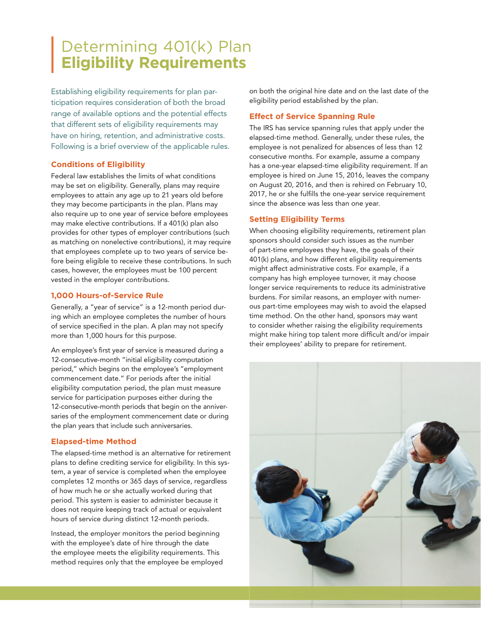# Determining 401(k) Plan **Eligibility Requirements**

Establishing eligibility requirements for plan participation requires consideration of both the broad range of available options and the potential effects that different sets of eligibility requirements may have on hiring, retention, and administrative costs. Following is a brief overview of the applicable rules.

#### **Conditions of Eligibility**

Federal law establishes the limits of what conditions may be set on eligibility. Generally, plans may require employees to attain any age up to 21 years old before they may become participants in the plan. Plans may also require up to one year of service before employees may make elective contributions. If a 401(k) plan also provides for other types of employer contributions (such as matching on nonelective contributions), it may require that employees complete up to two years of service before being eligible to receive these contributions. In such cases, however, the employees must be 100 percent vested in the employer contributions.

#### **1,000 Hours-of-Service Rule**

Generally, a "year of service" is a 12-month period during which an employee completes the number of hours of service specified in the plan. A plan may not specify more than 1,000 hours for this purpose.

An employee's first year of service is measured during a 12-consecutive-month "initial eligibility computation period," which begins on the employee's "employment commencement date." For periods after the initial eligibility computation period, the plan must measure service for participation purposes either during the 12-consecutive-month periods that begin on the anniversaries of the employment commencement date or during the plan years that include such anniversaries.

#### **Elapsed-time Method**

The elapsed-time method is an alternative for retirement plans to define crediting service for eligibility. In this system, a year of service is completed when the employee completes 12 months or 365 days of service, regardless of how much he or she actually worked during that period. This system is easier to administer because it does not require keeping track of actual or equivalent hours of service during distinct 12-month periods.

Instead, the employer monitors the period beginning with the employee's date of hire through the date the employee meets the eligibility requirements. This method requires only that the employee be employed on both the original hire date and on the last date of the eligibility period established by the plan.

#### **Effect of Service Spanning Rule**

The IRS has service spanning rules that apply under the elapsed-time method. Generally, under these rules, the employee is not penalized for absences of less than 12 consecutive months. For example, assume a company has a one-year elapsed-time eligibility requirement. If an employee is hired on June 15, 2016, leaves the company on August 20, 2016, and then is rehired on February 10, 2017, he or she fulfills the one-year service requirement since the absence was less than one year.

#### **Setting Eligibility Terms**

When choosing eligibility requirements, retirement plan sponsors should consider such issues as the number of part-time employees they have, the goals of their 401(k) plans, and how different eligibility requirements might affect administrative costs. For example, if a company has high employee turnover, it may choose longer service requirements to reduce its administrative burdens. For similar reasons, an employer with numerous part-time employees may wish to avoid the elapsed time method. On the other hand, sponsors may want to consider whether raising the eligibility requirements might make hiring top talent more difficult and/or impair their employees' ability to prepare for retirement.